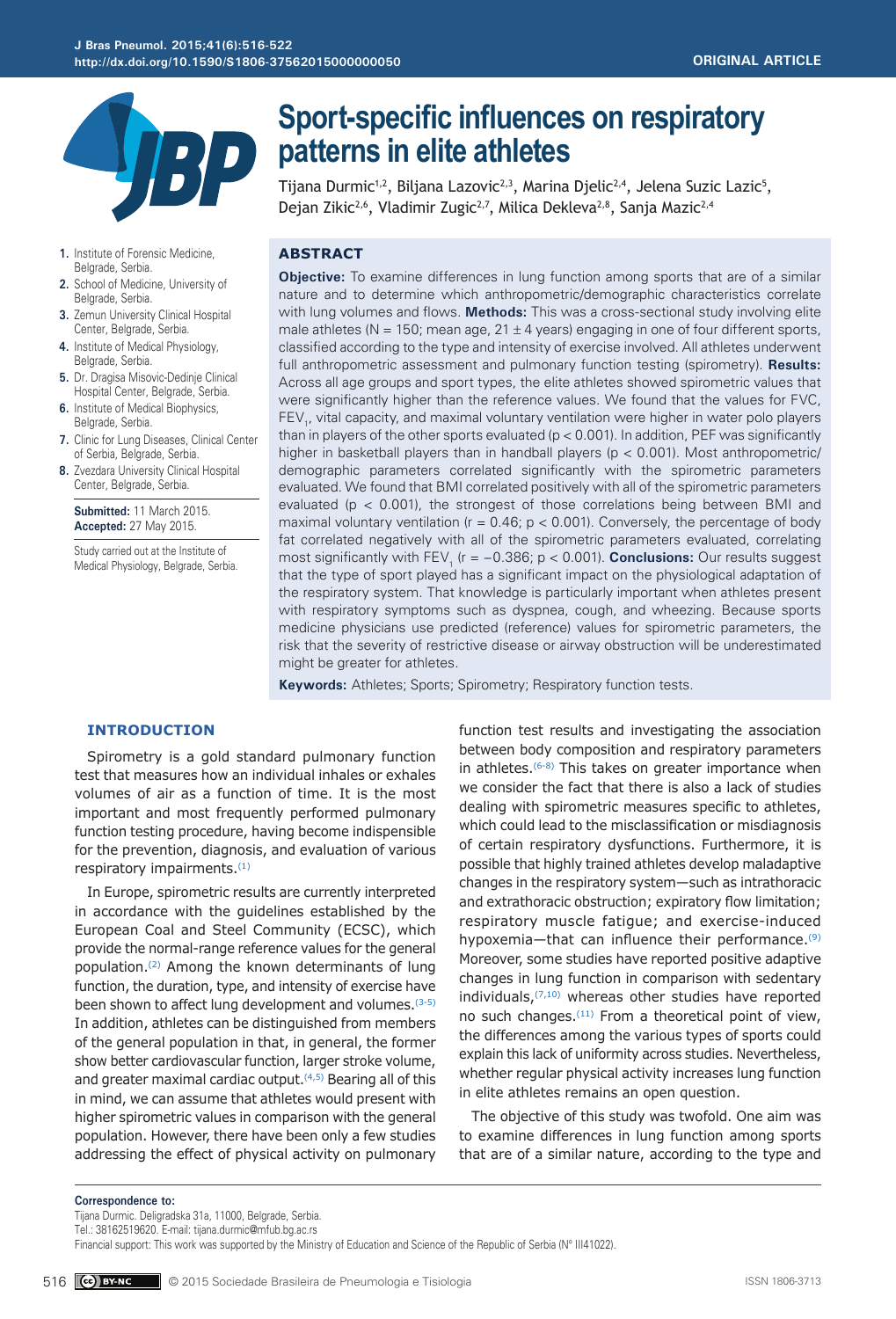

# **Sport-specific influences on respiratory patterns in elite athletes**

Tijana Durmic<sup>1,2</sup>, Biljana Lazovic<sup>2,3</sup>, Marina Djelic<sup>2,4</sup>, Jelena Suzic Lazic<sup>5</sup>, Dejan Zikic<sup>2,6</sup>, Vladimir Zugic<sup>2,7</sup>, Milica Dekleva<sup>2,8</sup>, Sanja Mazic<sup>2,4</sup>

- **1.** Institute of Forensic Medicine, Belgrade, Serbia.
- **2.** School of Medicine, University of Belgrade, Serbia.
- **3.** Zemun University Clinical Hospital Center, Belgrade, Serbia.
- **4.** Institute of Medical Physiology, Belgrade, Serbia.
- **5.** Dr. Dragisa Misovic-Dedinje Clinical Hospital Center, Belgrade, Serbia.
- **6.** Institute of Medical Biophysics, Belgrade, Serbia.
- **7.** Clinic for Lung Diseases, Clinical Center of Serbia, Belgrade, Serbia.
- **8.** Zvezdara University Clinical Hospital Center, Belgrade, Serbia.

**Submitted:** 11 March 2015. **Accepted:** 27 May 2015.

Study carried out at the Institute of Medical Physiology, Belgrade, Serbia.

## **ABSTRACT**

**Objective:** To examine differences in lung function among sports that are of a similar nature and to determine which anthropometric/demographic characteristics correlate with lung volumes and flows. **Methods:** This was a cross-sectional study involving elite male athletes ( $N = 150$ ; mean age,  $21 \pm 4$  years) engaging in one of four different sports, classified according to the type and intensity of exercise involved. All athletes underwent full anthropometric assessment and pulmonary function testing (spirometry). **Results:** Across all age groups and sport types, the elite athletes showed spirometric values that were significantly higher than the reference values. We found that the values for FVC,  $\mathsf{FEV}_1$ , vital capacity, and maximal voluntary ventilation were higher in water polo players than in players of the other sports evaluated ( $p < 0.001$ ). In addition, PEF was significantly higher in basketball players than in handball players ( $p < 0.001$ ). Most anthropometric/ demographic parameters correlated significantly with the spirometric parameters evaluated. We found that BMI correlated positively with all of the spirometric parameters evaluated ( $p < 0.001$ ), the strongest of those correlations being between BMI and maximal voluntary ventilation ( $r = 0.46$ ;  $p < 0.001$ ). Conversely, the percentage of body fat correlated negatively with all of the spirometric parameters evaluated, correlating most significantly with FEV<sub>1</sub> (r = −0.386; p < 0.001). **Conclusions:** Our results suggest that the type of sport played has a significant impact on the physiological adaptation of the respiratory system. That knowledge is particularly important when athletes present with respiratory symptoms such as dyspnea, cough, and wheezing. Because sports medicine physicians use predicted (reference) values for spirometric parameters, the risk that the severity of restrictive disease or airway obstruction will be underestimated might be greater for athletes.

**Keywords:** Athletes; Sports; Spirometry; Respiratory function tests.

## **INTRODUCTION**

Spirometry is a gold standard pulmonary function test that measures how an individual inhales or exhales volumes of air as a function of time. It is the most important and most frequently performed pulmonary function testing procedure, having become indispensible for the prevention, diagnosis, and evaluation of various respiratory impairments.(1)

In Europe, spirometric results are currently interpreted in accordance with the guidelines established by the European Coal and Steel Community (ECSC), which provide the normal-range reference values for the general population.(2) Among the known determinants of lung function, the duration, type, and intensity of exercise have been shown to affect lung development and volumes.(3-5) In addition, athletes can be distinguished from members of the general population in that, in general, the former show better cardiovascular function, larger stroke volume, and greater maximal cardiac output.<sup>(4,5)</sup> Bearing all of this in mind, we can assume that athletes would present with higher spirometric values in comparison with the general population. However, there have been only a few studies addressing the effect of physical activity on pulmonary

function test results and investigating the association between body composition and respiratory parameters in athletes.<sup>(6-8)</sup> This takes on greater importance when we consider the fact that there is also a lack of studies dealing with spirometric measures specific to athletes, which could lead to the misclassification or misdiagnosis of certain respiratory dysfunctions. Furthermore, it is possible that highly trained athletes develop maladaptive changes in the respiratory system—such as intrathoracic and extrathoracic obstruction; expiratory flow limitation; respiratory muscle fatigue; and exercise-induced hypoxemia—that can influence their performance.<sup>(9)</sup> Moreover, some studies have reported positive adaptive changes in lung function in comparison with sedentary individuals,  $(7,10)$  whereas other studies have reported no such changes.<sup>(11)</sup> From a theoretical point of view, the differences among the various types of sports could explain this lack of uniformity across studies. Nevertheless, whether regular physical activity increases lung function in elite athletes remains an open question.

The objective of this study was twofold. One aim was to examine differences in lung function among sports that are of a similar nature, according to the type and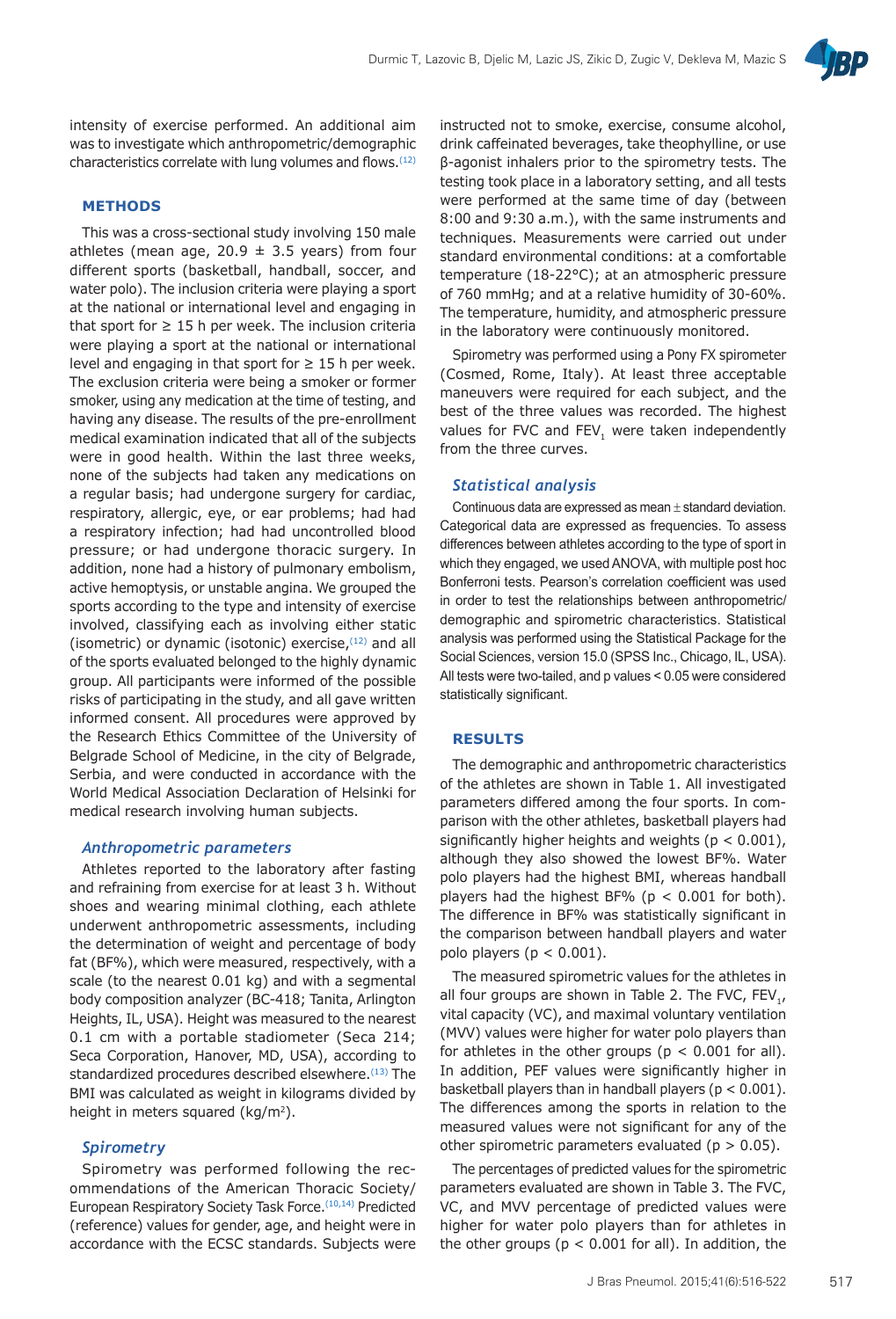

intensity of exercise performed. An additional aim was to investigate which anthropometric/demographic characteristics correlate with lung volumes and flows.(12)

### **METHODS**

This was a cross-sectional study involving 150 male athletes (mean age, 20.9  $\pm$  3.5 years) from four different sports (basketball, handball, soccer, and water polo). The inclusion criteria were playing a sport at the national or international level and engaging in that sport for  $\geq 15$  h per week. The inclusion criteria were playing a sport at the national or international level and engaging in that sport for  $\geq 15$  h per week. The exclusion criteria were being a smoker or former smoker, using any medication at the time of testing, and having any disease. The results of the pre-enrollment medical examination indicated that all of the subjects were in good health. Within the last three weeks, none of the subjects had taken any medications on a regular basis; had undergone surgery for cardiac, respiratory, allergic, eye, or ear problems; had had a respiratory infection; had had uncontrolled blood pressure; or had undergone thoracic surgery. In addition, none had a history of pulmonary embolism, active hemoptysis, or unstable angina. We grouped the sports according to the type and intensity of exercise involved, classifying each as involving either static (isometric) or dynamic (isotonic) exercise,  $(12)$  and all of the sports evaluated belonged to the highly dynamic group. All participants were informed of the possible risks of participating in the study, and all gave written informed consent. All procedures were approved by the Research Ethics Committee of the University of Belgrade School of Medicine, in the city of Belgrade, Serbia, and were conducted in accordance with the World Medical Association Declaration of Helsinki for medical research involving human subjects.

#### *Anthropometric parameters*

Athletes reported to the laboratory after fasting and refraining from exercise for at least 3 h. Without shoes and wearing minimal clothing, each athlete underwent anthropometric assessments, including the determination of weight and percentage of body fat (BF%), which were measured, respectively, with a scale (to the nearest 0.01 kg) and with a segmental body composition analyzer (BC-418; Tanita, Arlington Heights, IL, USA). Height was measured to the nearest 0.1 cm with a portable stadiometer (Seca 214; Seca Corporation, Hanover, MD, USA), according to standardized procedures described elsewhere.<sup>(13)</sup> The BMI was calculated as weight in kilograms divided by height in meters squared (kg/m<sup>2</sup>).

## *Spirometry*

Spirometry was performed following the recommendations of the American Thoracic Society/ European Respiratory Society Task Force.(10,14) Predicted (reference) values for gender, age, and height were in accordance with the ECSC standards. Subjects were

instructed not to smoke, exercise, consume alcohol, drink caffeinated beverages, take theophylline, or use β-agonist inhalers prior to the spirometry tests. The testing took place in a laboratory setting, and all tests were performed at the same time of day (between 8:00 and 9:30 a.m.), with the same instruments and techniques. Measurements were carried out under standard environmental conditions: at a comfortable temperature (18-22°C); at an atmospheric pressure of 760 mmHg; and at a relative humidity of 30-60%. The temperature, humidity, and atmospheric pressure in the laboratory were continuously monitored.

Spirometry was performed using a Pony FX spirometer (Cosmed, Rome, Italy). At least three acceptable maneuvers were required for each subject, and the best of the three values was recorded. The highest values for FVC and FEV, were taken independently from the three curves.

#### *Statistical analysis*

Continuous data are expressed as mean ± standard deviation. Categorical data are expressed as frequencies. To assess differences between athletes according to the type of sport in which they engaged, we used ANOVA, with multiple post hoc Bonferroni tests. Pearson's correlation coefficient was used in order to test the relationships between anthropometric/ demographic and spirometric characteristics. Statistical analysis was performed using the Statistical Package for the Social Sciences, version 15.0 (SPSS Inc., Chicago, IL, USA). All tests were two-tailed, and p values < 0.05 were considered statistically significant.

#### **RESULTS**

The demographic and anthropometric characteristics of the athletes are shown in Table 1. All investigated parameters differed among the four sports. In comparison with the other athletes, basketball players had significantly higher heights and weights ( $p < 0.001$ ), although they also showed the lowest BF%. Water polo players had the highest BMI, whereas handball players had the highest BF% ( $p < 0.001$  for both). The difference in BF% was statistically significant in the comparison between handball players and water polo players ( $p < 0.001$ ).

The measured spirometric values for the athletes in all four groups are shown in Table 2. The FVC, FEV<sub>1</sub>, vital capacity (VC), and maximal voluntary ventilation (MVV) values were higher for water polo players than for athletes in the other groups ( $p < 0.001$  for all). In addition, PEF values were significantly higher in basketball players than in handball players ( $p < 0.001$ ). The differences among the sports in relation to the measured values were not significant for any of the other spirometric parameters evaluated ( $p > 0.05$ ).

The percentages of predicted values for the spirometric parameters evaluated are shown in Table 3. The FVC, VC, and MVV percentage of predicted values were higher for water polo players than for athletes in the other groups ( $p < 0.001$  for all). In addition, the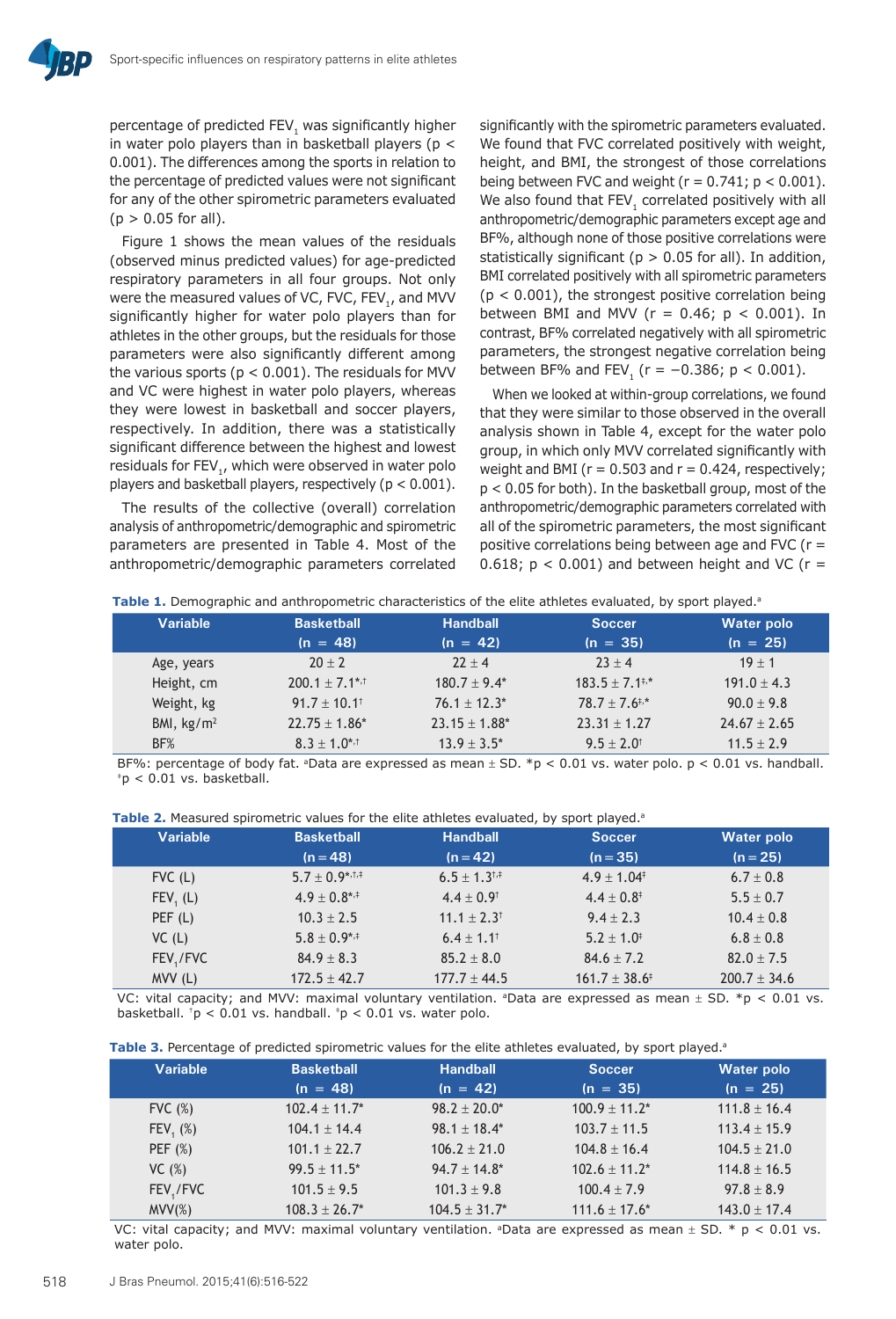percentage of predicted FEV, was significantly higher in water polo players than in basketball players ( $p <$ 0.001). The differences among the sports in relation to the percentage of predicted values were not significant for any of the other spirometric parameters evaluated  $(p > 0.05$  for all).

Figure 1 shows the mean values of the residuals (observed minus predicted values) for age-predicted respiratory parameters in all four groups. Not only were the measured values of VC, FVC, FEV<sub>1</sub>, and MVV significantly higher for water polo players than for athletes in the other groups, but the residuals for those parameters were also significantly different among the various sports ( $p < 0.001$ ). The residuals for MVV and VC were highest in water polo players, whereas they were lowest in basketball and soccer players, respectively. In addition, there was a statistically significant difference between the highest and lowest residuals for FEV<sub>1</sub>, which were observed in water polo players and basketball players, respectively (p < 0.001).

The results of the collective (overall) correlation analysis of anthropometric/demographic and spirometric parameters are presented in Table 4. Most of the anthropometric/demographic parameters correlated

significantly with the spirometric parameters evaluated. We found that FVC correlated positively with weight, height, and BMI, the strongest of those correlations being between FVC and weight ( $r = 0.741$ ;  $p < 0.001$ ). We also found that FEV, correlated positively with all anthropometric/demographic parameters except age and BF%, although none of those positive correlations were statistically significant ( $p > 0.05$  for all). In addition, BMI correlated positively with all spirometric parameters  $(p < 0.001)$ , the strongest positive correlation being between BMI and MVV ( $r = 0.46$ ;  $p < 0.001$ ). In contrast, BF% correlated negatively with all spirometric parameters, the strongest negative correlation being between BF% and FEV<sub>1</sub> ( $r = -0.386$ ;  $p < 0.001$ ).

When we looked at within-group correlations, we found that they were similar to those observed in the overall analysis shown in Table 4, except for the water polo group, in which only MVV correlated significantly with weight and BMI ( $r = 0.503$  and  $r = 0.424$ , respectively; p < 0.05 for both). In the basketball group, most of the anthropometric/demographic parameters correlated with all of the spirometric parameters, the most significant positive correlations being between age and FVC ( $r =$ 0.618;  $p < 0.001$ ) and between height and VC ( $r =$ 

| Table 1. Demographic and anthropometric characteristics of the elite athletes evaluated, by sport played. <sup>8</sup> |  |
|------------------------------------------------------------------------------------------------------------------------|--|
|------------------------------------------------------------------------------------------------------------------------|--|

| Variable     | <b>Basketball</b>          | <b>Handball</b><br><b>Soccer</b> |                           | <b>Water polo</b> |  |
|--------------|----------------------------|----------------------------------|---------------------------|-------------------|--|
|              | $(n = 48)$                 | $(n = 42)$                       | $(n = 35)$                | $(n = 25)$        |  |
| Age, years   | $20 + 2$                   | $22 + 4$                         | $23 + 4$                  | $19 + 1$          |  |
| Height, cm   | $200.1 + 7.1^{*,+}$        | $180.7 + 9.4*$                   | $183.5 + 7.1^{+,*}$       | $191.0 + 4.3$     |  |
| Weight, kg   | $91.7 + 10.1$ <sup>t</sup> | $76.1 + 12.3*$                   | $78.7 + 7.6$ <sup>*</sup> | $90.0 + 9.8$      |  |
| BMI, $kg/m2$ | $22.75 \pm 1.86^*$         | $23.15 + 1.88*$                  | $23.31 + 1.27$            | $24.67 \pm 2.65$  |  |
| BF%          | $8.3 + 1.0^{*,+}$          | $13.9 + 3.5^*$                   | $9.5 + 2.0$ <sup>t</sup>  | $11.5 + 2.9$      |  |

BF%: percentage of body fat. <sup>a</sup>Data are expressed as mean  $\pm$  SD. \*p < 0.01 vs. water polo. p < 0.01 vs. handball.  $p < 0.01$  vs. basketball.

**Table 2.** Measured spirometric values for the elite athletes evaluated, by sport played.<sup>a</sup>

| <b>Variable</b> | <b>Basketball</b> | <b>Handball</b><br><b>Soccer</b> |                             | <b>Water polo</b> |
|-----------------|-------------------|----------------------------------|-----------------------------|-------------------|
|                 | $(n = 48)$        | $(n = 42)$                       | $(n = 35)$                  | $(n = 25)$        |
| $FVC$ (L)       | $5.7 + 0.9$ *,t,t | $6.5 + 1.3$ <sup>1,‡</sup>       | $4.9 + 1.04^{\ddagger}$     | $6.7 \pm 0.8$     |
| FEV, (L)        | $4.9 + 0.8^{*,+}$ | $4.4 \pm 0.9$ <sup>t</sup>       | $4.4 \pm 0.8^{\ddagger}$    | $5.5 \pm 0.7$     |
| PEF(L)          | $10.3 + 2.5$      | $11.1 + 2.3$ <sup>†</sup>        | $9.4 + 2.3$                 | $10.4 \pm 0.8$    |
| VC(L)           | $5.8 \pm 0.9$ *,‡ | $6.4 + 1.1$ <sup>t</sup>         | $5.2 + 1.0$ <sup>#</sup>    | $6.8 \pm 0.8$     |
| FEV,/FVC        | $84.9 \pm 8.3$    | $85.2 \pm 8.0$                   | $84.6 \pm 7.2$              | $82.0 \pm 7.5$    |
| MV(L)           | $172.5 \pm 42.7$  | $177.7 + 44.5$                   | $161.7 \pm 38.6^{\ddagger}$ | $200.7 \pm 34.6$  |

VC: vital capacity; and MVV: maximal voluntary ventilation. <sup>a</sup>Data are expressed as mean  $\pm$  SD. \*p < 0.01 vs. basketball.  $p < 0.01$  vs. handball.  $p < 0.01$  vs. water polo.

| Table 3. Percentage of predicted spirometric values for the elite athletes evaluated, by sport played. <sup>3</sup> |  |
|---------------------------------------------------------------------------------------------------------------------|--|
|---------------------------------------------------------------------------------------------------------------------|--|

| <b>Variable</b> | <b>Basketball</b><br><b>Handball</b> |                  | <b>Soccer</b>   | <b>Water polo</b> |
|-----------------|--------------------------------------|------------------|-----------------|-------------------|
|                 | $(n = 48)$                           | $(n = 42)$       | $(n = 35)$      | $(n = 25)$        |
| FVC(%)          | $102.4 + 11.7*$                      | $98.2 + 20.0*$   | $100.9 + 11.2*$ | $111.8 + 16.4$    |
| $FEV, (\%)$     | $104.1 + 14.4$                       | $98.1 + 18.4*$   | $103.7 + 11.5$  | $113.4 + 15.9$    |
| PEF $(%)$       | $101.1 + 22.7$                       | $106.2 + 21.0$   | $104.8 + 16.4$  | $104.5 + 21.0$    |
| VC(%)           | $99.5 + 11.5$ *                      | $94.7 + 14.8^*$  | $102.6 + 11.2*$ | $114.8 + 16.5$    |
| FEV / FVC       | $101.5 + 9.5$                        | $101.3 + 9.8$    | $100.4 + 7.9$   | $97.8 + 8.9$      |
| MV(X)           | $108.3 + 26.7^*$                     | $104.5 + 31.7^*$ | $111.6 + 17.6*$ | $143.0 + 17.4$    |

VC: vital capacity; and MVV: maximal voluntary ventilation. <sup>a</sup>Data are expressed as mean  $\pm$  SD. \* p < 0.01 vs. water polo.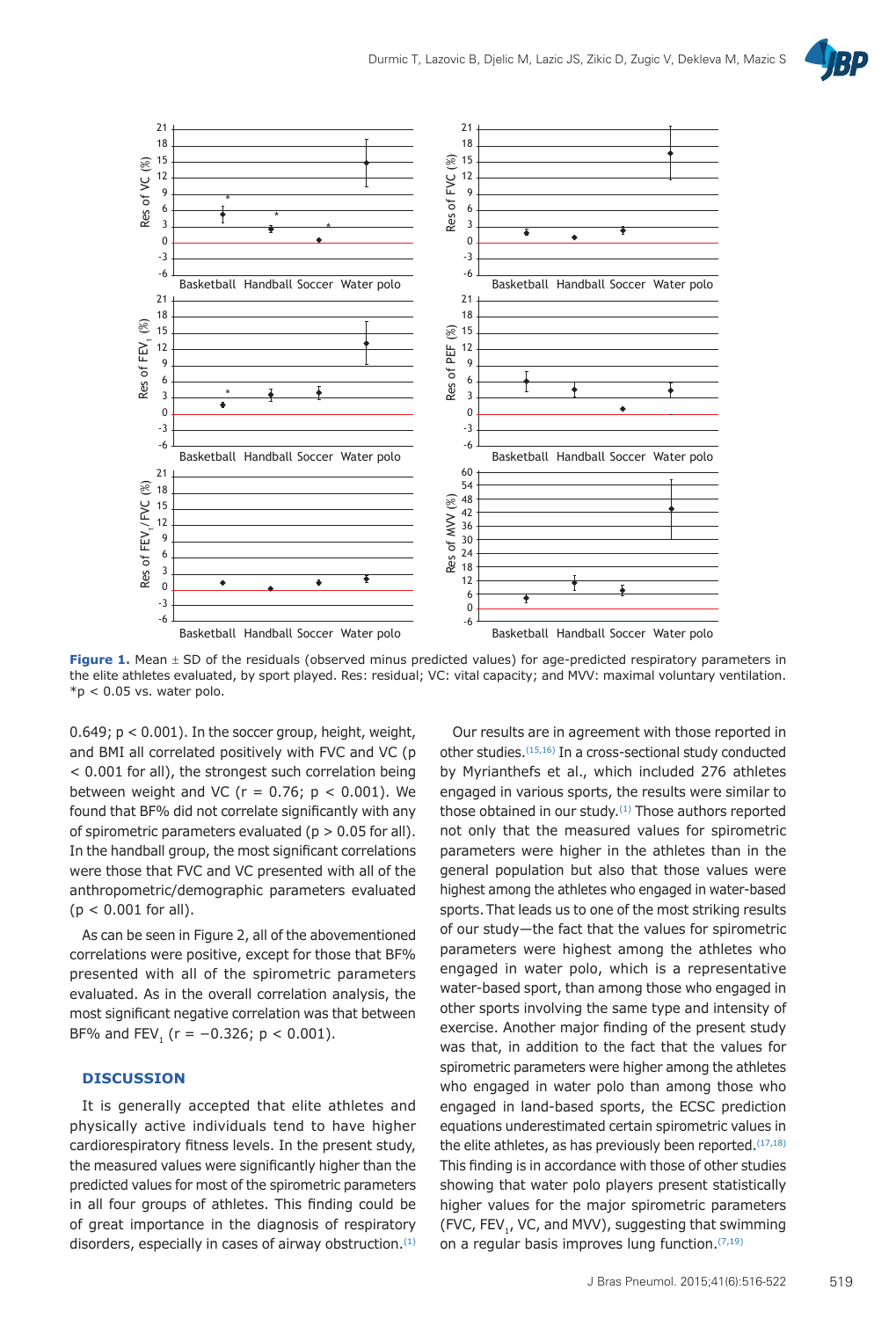



**Figure 1.** Mean  $\pm$  SD of the residuals (observed minus predicted values) for age-predicted respiratory parameters in the elite athletes evaluated, by sport played. Res: residual; VC: vital capacity; and MVV: maximal voluntary ventilation.  $*p < 0.05$  vs. water polo.

 $0.649$ ;  $p < 0.001$ ). In the soccer group, height, weight, and BMI all correlated positively with FVC and VC (p < 0.001 for all), the strongest such correlation being between weight and VC ( $r = 0.76$ ;  $p < 0.001$ ). We found that BF% did not correlate significantly with any of spirometric parameters evaluated ( $p > 0.05$  for all). In the handball group, the most significant correlations were those that FVC and VC presented with all of the anthropometric/demographic parameters evaluated  $(p < 0.001$  for all).

As can be seen in Figure 2, all of the abovementioned correlations were positive, except for those that BF% presented with all of the spirometric parameters evaluated. As in the overall correlation analysis, the most significant negative correlation was that between BF% and FEV,  $(r = -0.326; p < 0.001)$ .

## **DISCUSSION**

It is generally accepted that elite athletes and physically active individuals tend to have higher cardiorespiratory fitness levels. In the present study, the measured values were significantly higher than the predicted values for most of the spirometric parameters in all four groups of athletes. This finding could be of great importance in the diagnosis of respiratory disorders, especially in cases of airway obstruction.(1)

Our results are in agreement with those reported in other studies.(15,16) In a cross-sectional study conducted by Myrianthefs et al., which included 276 athletes engaged in various sports, the results were similar to those obtained in our study.<sup>(1)</sup> Those authors reported not only that the measured values for spirometric parameters were higher in the athletes than in the general population but also that those values were highest among the athletes who engaged in water-based sports.That leads us to one of the most striking results of our study—the fact that the values for spirometric parameters were highest among the athletes who engaged in water polo, which is a representative water-based sport, than among those who engaged in other sports involving the same type and intensity of exercise. Another major finding of the present study was that, in addition to the fact that the values for spirometric parameters were higher among the athletes who engaged in water polo than among those who engaged in land-based sports, the ECSC prediction equations underestimated certain spirometric values in the elite athletes, as has previously been reported.  $(17,18)$ This finding is in accordance with those of other studies showing that water polo players present statistically higher values for the major spirometric parameters (FVC, FEV<sub>1</sub>, VC, and MVV), suggesting that swimming on a regular basis improves lung function.<sup>(7,19)</sup>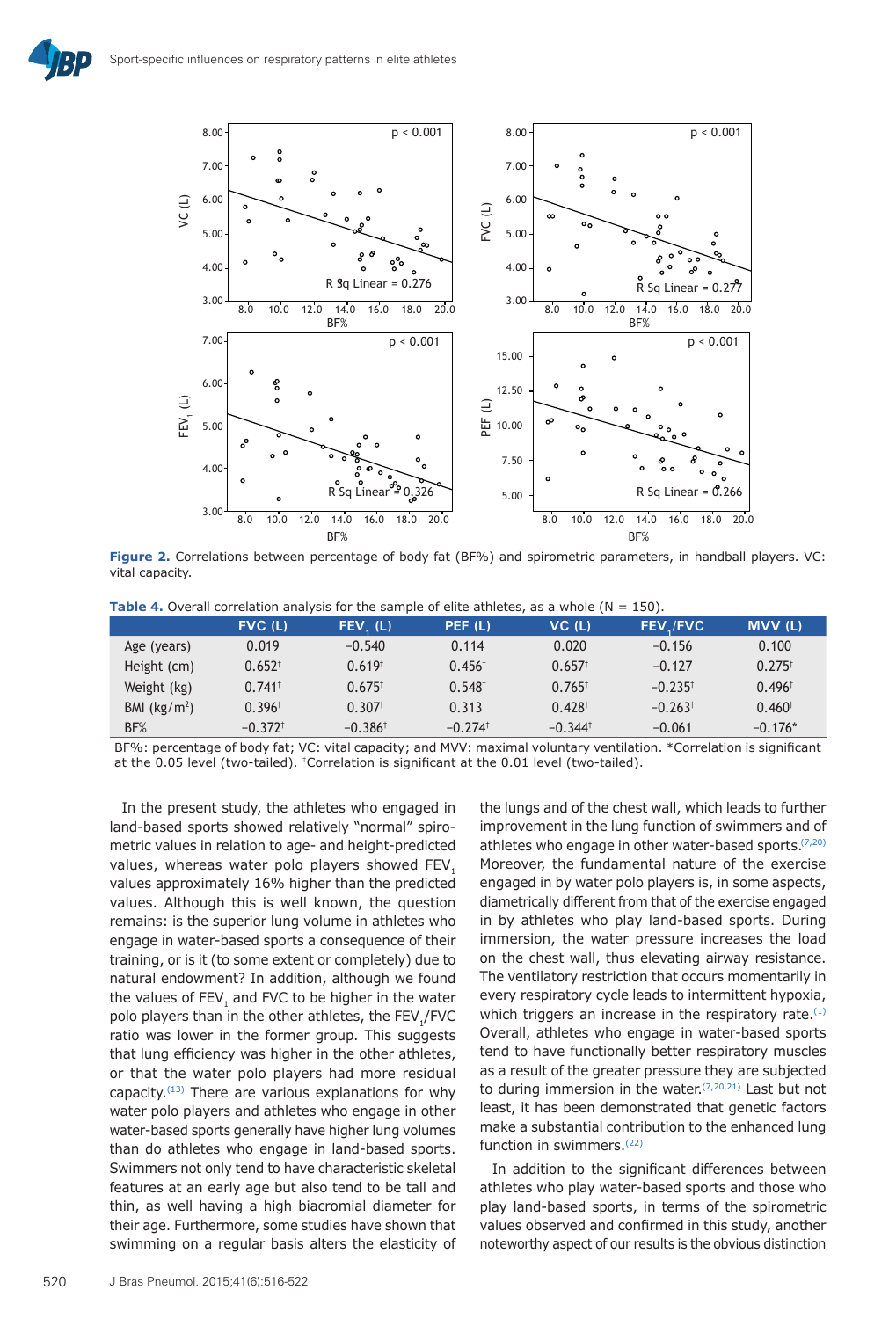

**Figure 2.** Correlations between percentage of body fat (BF%) and spirometric parameters, in handball players. VC: vital capacity.

|               | $FVC$ (L)             | FEV. (L)              | PEF (L)               | $VC$ (L)              | <b>FEV./FVC</b>       | <b>MVV(L)</b>        |
|---------------|-----------------------|-----------------------|-----------------------|-----------------------|-----------------------|----------------------|
| Age (years)   | 0.019                 | $-0.540$              | 0.114                 | 0.020                 | $-0.156$              | 0.100                |
| Height (cm)   | $0.652$ <sup>t</sup>  | $0.619$ <sup>t</sup>  | $0.456^{\dagger}$     | $0.657$ <sup>t</sup>  | $-0.127$              | $0.275$ <sup>t</sup> |
| Weight (kg)   | $0.741$ <sup>t</sup>  | $0.675$ <sup>t</sup>  | $0.548^{\dagger}$     | $0.765$ <sup>t</sup>  | $-0.235$ <sup>t</sup> | $0.496^{\dagger}$    |
| BMI $(kg/m2)$ | $0.396$ <sup>t</sup>  | $0.307$ <sup>t</sup>  | $0.313$ <sup>t</sup>  | $0.428$ <sup>t</sup>  | $-0.263$ <sup>t</sup> | 0.460 <sup>†</sup>   |
| BF%           | $-0.372$ <sup>t</sup> | $-0.386$ <sup>t</sup> | $-0.274$ <sup>t</sup> | $-0.344$ <sup>t</sup> | $-0.061$              | $-0.176*$            |

BF%: percentage of body fat; VC: vital capacity; and MVV: maximal voluntary ventilation. \*Correlation is significant at the 0.05 level (two-tailed). †Correlation is significant at the 0.01 level (two-tailed).

In the present study, the athletes who engaged in land-based sports showed relatively "normal" spirometric values in relation to age- and height-predicted values, whereas water polo players showed FEV. values approximately 16% higher than the predicted values. Although this is well known, the question remains: is the superior lung volume in athletes who engage in water-based sports a consequence of their training, or is it (to some extent or completely) due to natural endowment? In addition, although we found the values of FEV<sub>1</sub> and FVC to be higher in the water polo players than in the other athletes, the FEV1/FVC ratio was lower in the former group. This suggests that lung efficiency was higher in the other athletes, or that the water polo players had more residual capacity. $(13)$  There are various explanations for why water polo players and athletes who engage in other water-based sports generally have higher lung volumes than do athletes who engage in land-based sports. Swimmers not only tend to have characteristic skeletal features at an early age but also tend to be tall and thin, as well having a high biacromial diameter for their age. Furthermore, some studies have shown that swimming on a regular basis alters the elasticity of

the lungs and of the chest wall, which leads to further improvement in the lung function of swimmers and of athletes who engage in other water-based sports.<sup>(7,20)</sup> Moreover, the fundamental nature of the exercise engaged in by water polo players is, in some aspects, diametrically different from that of the exercise engaged in by athletes who play land-based sports. During immersion, the water pressure increases the load on the chest wall, thus elevating airway resistance. The ventilatory restriction that occurs momentarily in every respiratory cycle leads to intermittent hypoxia, which triggers an increase in the respiratory rate. $(1)$ Overall, athletes who engage in water-based sports tend to have functionally better respiratory muscles as a result of the greater pressure they are subjected to during immersion in the water.  $(7,20,21)$  Last but not least, it has been demonstrated that genetic factors make a substantial contribution to the enhanced lung function in swimmers.(22)

In addition to the significant differences between athletes who play water-based sports and those who play land-based sports, in terms of the spirometric values observed and confirmed in this study, another noteworthy aspect of our results is the obvious distinction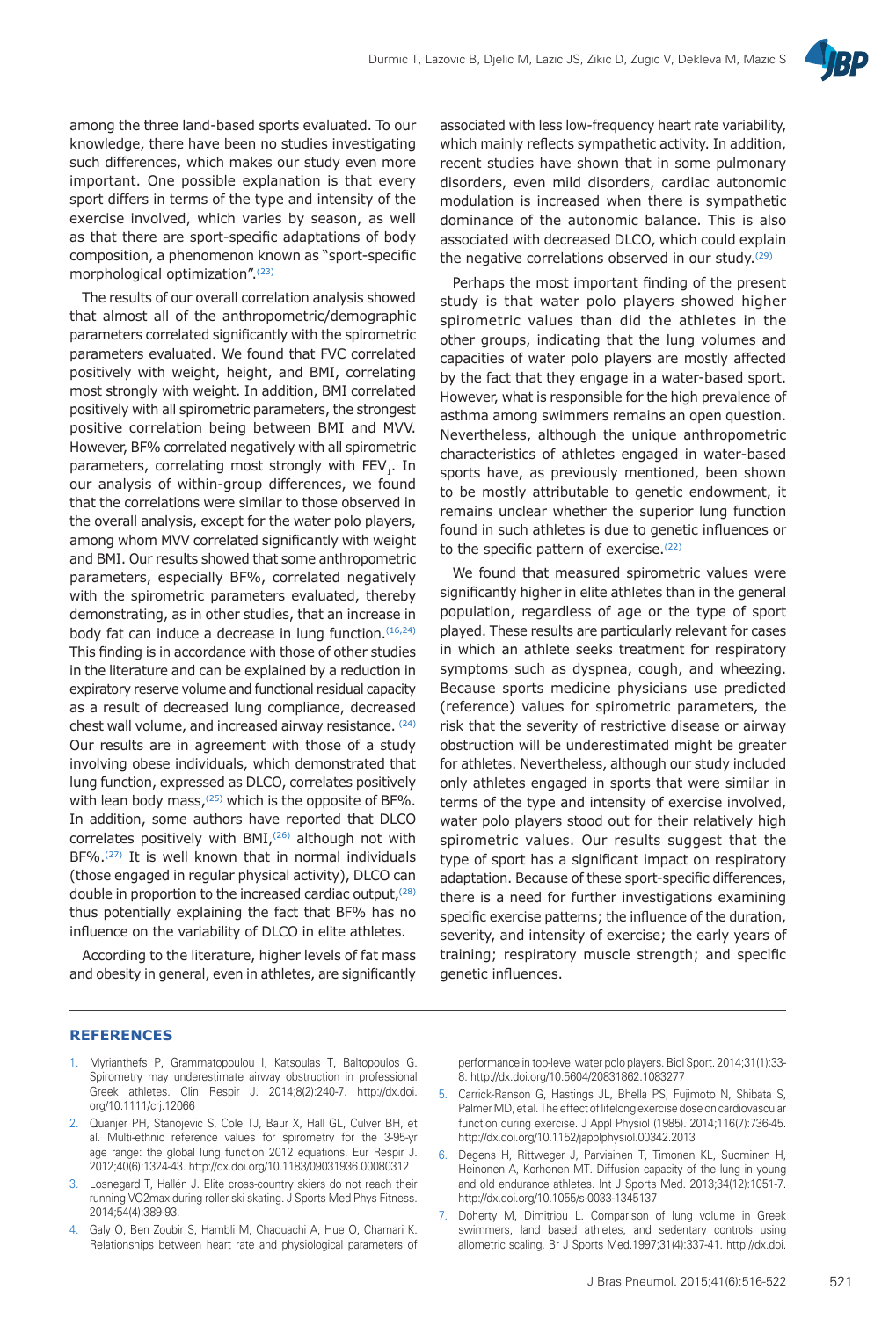

among the three land-based sports evaluated. To our knowledge, there have been no studies investigating such differences, which makes our study even more important. One possible explanation is that every sport differs in terms of the type and intensity of the exercise involved, which varies by season, as well as that there are sport-specific adaptations of body composition, a phenomenon known as "sport-specific morphological optimization".(23)

The results of our overall correlation analysis showed that almost all of the anthropometric/demographic parameters correlated significantly with the spirometric parameters evaluated. We found that FVC correlated positively with weight, height, and BMI, correlating most strongly with weight. In addition, BMI correlated positively with all spirometric parameters, the strongest positive correlation being between BMI and MVV. However, BF% correlated negatively with all spirometric parameters, correlating most strongly with FEV<sub>1</sub>. In our analysis of within-group differences, we found that the correlations were similar to those observed in the overall analysis, except for the water polo players, among whom MVV correlated significantly with weight and BMI. Our results showed that some anthropometric parameters, especially BF%, correlated negatively with the spirometric parameters evaluated, thereby demonstrating, as in other studies, that an increase in body fat can induce a decrease in lung function.(16,24) This finding is in accordance with those of other studies in the literature and can be explained by a reduction in expiratory reserve volume and functional residual capacity as a result of decreased lung compliance, decreased chest wall volume, and increased airway resistance. (24) Our results are in agreement with those of a study involving obese individuals, which demonstrated that lung function, expressed as DLCO, correlates positively with lean body mass.<sup> $(25)$ </sup> which is the opposite of BF%. In addition, some authors have reported that DLCO correlates positively with BMI, $(26)$  although not with BF%.<sup>(27)</sup> It is well known that in normal individuals (those engaged in regular physical activity), DLCO can double in proportion to the increased cardiac output, <sup>(28)</sup> thus potentially explaining the fact that BF% has no influence on the variability of DLCO in elite athletes.

According to the literature, higher levels of fat mass and obesity in general, even in athletes, are significantly associated with less low-frequency heart rate variability, which mainly reflects sympathetic activity. In addition, recent studies have shown that in some pulmonary disorders, even mild disorders, cardiac autonomic modulation is increased when there is sympathetic dominance of the autonomic balance. This is also associated with decreased DLCO, which could explain the negative correlations observed in our study.<sup>(29)</sup>

Perhaps the most important finding of the present study is that water polo players showed higher spirometric values than did the athletes in the other groups, indicating that the lung volumes and capacities of water polo players are mostly affected by the fact that they engage in a water-based sport. However, what is responsible for the high prevalence of asthma among swimmers remains an open question. Nevertheless, although the unique anthropometric characteristics of athletes engaged in water-based sports have, as previously mentioned, been shown to be mostly attributable to genetic endowment, it remains unclear whether the superior lung function found in such athletes is due to genetic influences or to the specific pattern of exercise. $(22)$ 

We found that measured spirometric values were significantly higher in elite athletes than in the general population, regardless of age or the type of sport played. These results are particularly relevant for cases in which an athlete seeks treatment for respiratory symptoms such as dyspnea, cough, and wheezing. Because sports medicine physicians use predicted (reference) values for spirometric parameters, the risk that the severity of restrictive disease or airway obstruction will be underestimated might be greater for athletes. Nevertheless, although our study included only athletes engaged in sports that were similar in terms of the type and intensity of exercise involved, water polo players stood out for their relatively high spirometric values. Our results suggest that the type of sport has a significant impact on respiratory adaptation. Because of these sport-specific differences, there is a need for further investigations examining specific exercise patterns; the influence of the duration, severity, and intensity of exercise; the early years of training; respiratory muscle strength; and specific genetic influences.

#### **REFERENCES**

- 1. Myrianthefs P, Grammatopoulou I, Katsoulas T, Baltopoulos G. Spirometry may underestimate airway obstruction in professional Greek athletes. Clin Respir J. 2014;8(2):240-7. http://dx.doi. org/10.1111/crj.12066
- 2. Quanjer PH, Stanojevic S, Cole TJ, Baur X, Hall GL, Culver BH, et al. Multi-ethnic reference values for spirometry for the 3-95-yr age range: the global lung function 2012 equations. Eur Respir J. 2012;40(6):1324-43. http://dx.doi.org/10.1183/09031936.00080312
- 3. Losnegard T, Hallén J. Elite cross-country skiers do not reach their running VO2max during roller ski skating. J Sports Med Phys Fitness. 2014;54(4):389-93.
- 4. Galy O, Ben Zoubir S, Hambli M, Chaouachi A, Hue O, Chamari K. Relationships between heart rate and physiological parameters of

performance in top-level water polo players. Biol Sport. 2014;31(1):33- 8. http://dx.doi.org/10.5604/20831862.1083277

- 5. Carrick-Ranson G, Hastings JL, Bhella PS, Fujimoto N, Shibata S, Palmer MD, et al. The effect of lifelong exercise dose on cardiovascular function during exercise. J Appl Physiol (1985). 2014;116(7):736-45. http://dx.doi.org/10.1152/japplphysiol.00342.2013
- 6. Degens H, Rittweger J, Parviainen T, Timonen KL, Suominen H, Heinonen A, Korhonen MT. Diffusion capacity of the lung in young and old endurance athletes. Int J Sports Med. 2013;34(12):1051-7. http://dx.doi.org/10.1055/s-0033-1345137
- 7. Doherty M, Dimitriou L. Comparison of lung volume in Greek swimmers, land based athletes, and sedentary controls using allometric scaling. Br J Sports Med.1997;31(4):337-41. http://dx.doi.